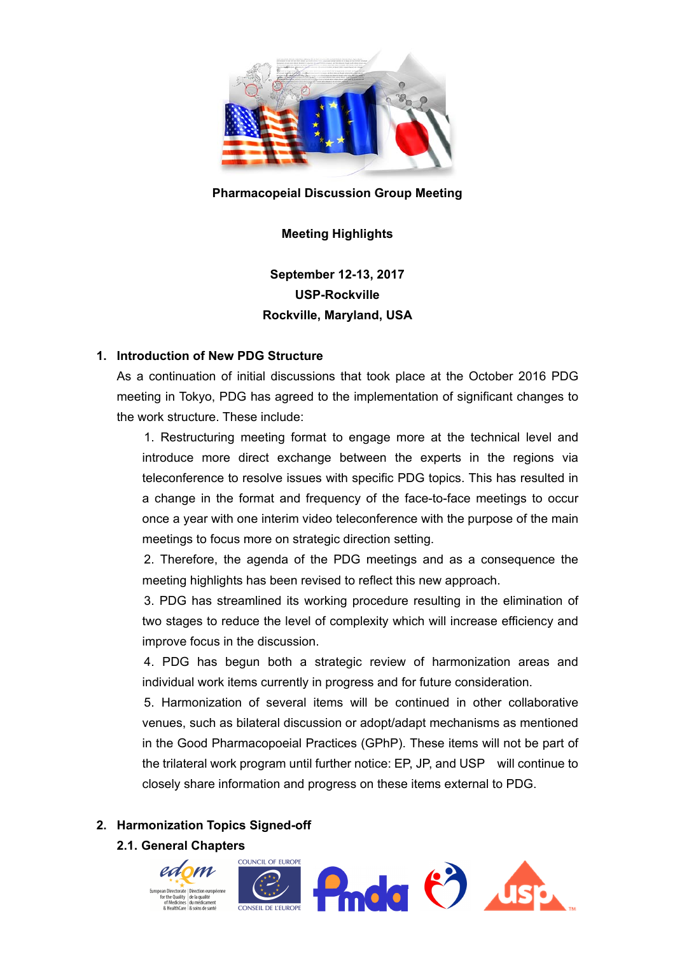

#### **Pharmacopeial Discussion Group Meeting**

#### **Meeting Highlights**

# **September 12-13, 2017 USP-Rockville Rockville, Maryland, USA**

#### **1. Introduction of New PDG Structure**

As a continuation of initial discussions that took place at the October 2016 PDG meeting in Tokyo, PDG has agreed to the implementation of significant changes to the work structure. These include:

1. Restructuring meeting format to engage more at the technical level and introduce more direct exchange between the experts in the regions via teleconference to resolve issues with specific PDG topics. This has resulted in a change in the format and frequency of the face-to-face meetings to occur once a year with one interim video teleconference with the purpose of the main meetings to focus more on strategic direction setting.

2. Therefore, the agenda of the PDG meetings and as a consequence the meeting highlights has been revised to reflect this new approach.

3. PDG has streamlined its working procedure resulting in the elimination of two stages to reduce the level of complexity which will increase efficiency and improve focus in the discussion.

4. PDG has begun both a strategic review of harmonization areas and individual work items currently in progress and for future consideration.

5. Harmonization of several items will be continued in other collaborative venues, such as bilateral discussion or adopt/adapt mechanisms as mentioned in the Good Pharmacopoeial Practices (GPhP). These items will not be part of the trilateral work program until further notice: EP, JP, and USP will continue to closely share information and progress on these items external to PDG.

#### **2. Harmonization Topics Signed-off**

**2.1. General Chapters** 

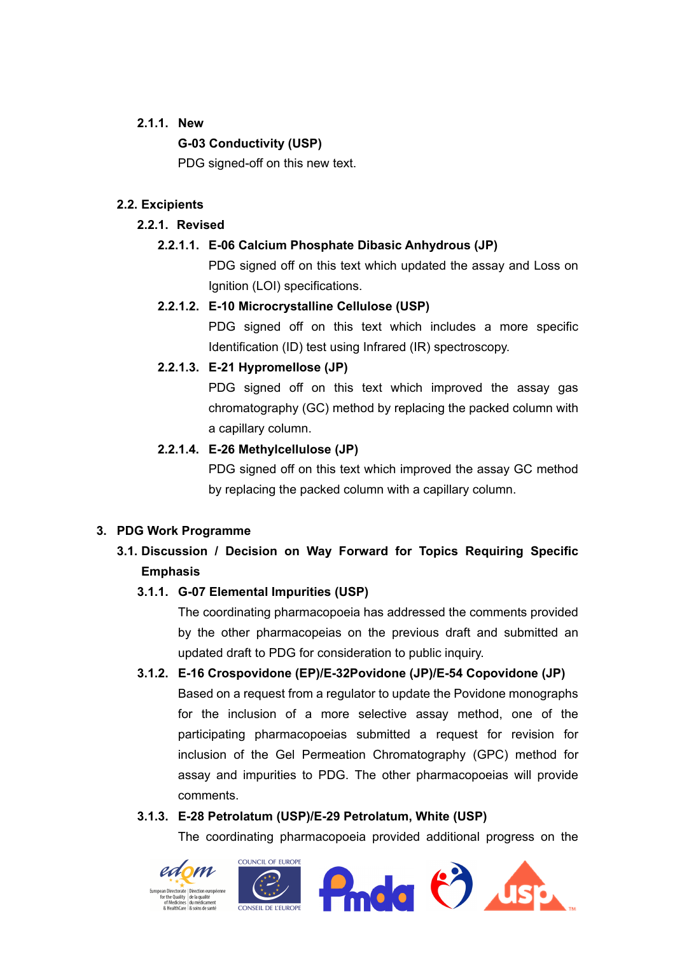#### **2.1.1. New**

### **G-03 Conductivity (USP)**

PDG signed-off on this new text.

### **2.2. Excipients**

### **2.2.1. Revised**

### **2.2.1.1. E-06 Calcium Phosphate Dibasic Anhydrous (JP)**

PDG signed off on this text which updated the assay and Loss on Ignition (LOI) specifications.

### **2.2.1.2. E-10 Microcrystalline Cellulose (USP)**

PDG signed off on this text which includes a more specific Identification (ID) test using Infrared (IR) spectroscopy.

### **2.2.1.3. E-21 Hypromellose (JP)**

PDG signed off on this text which improved the assay gas chromatography (GC) method by replacing the packed column with a capillary column.

### **2.2.1.4. E-26 Methylcellulose (JP)**

PDG signed off on this text which improved the assay GC method by replacing the packed column with a capillary column.

### **3. PDG Work Programme**

## **3.1. Discussion / Decision on Way Forward for Topics Requiring Specific Emphasis**

### **3.1.1. G-07 Elemental Impurities (USP)**

The coordinating pharmacopoeia has addressed the comments provided by the other pharmacopeias on the previous draft and submitted an updated draft to PDG for consideration to public inquiry.

### **3.1.2. E-16 Crospovidone (EP)/E-32Povidone (JP)/E-54 Copovidone (JP)**

Based on a request from a regulator to update the Povidone monographs for the inclusion of a more selective assay method, one of the participating pharmacopoeias submitted a request for revision for inclusion of the Gel Permeation Chromatography (GPC) method for assay and impurities to PDG. The other pharmacopoeias will provide comments.

### **3.1.3. E-28 Petrolatum (USP)/E-29 Petrolatum, White (USP)**

The coordinating pharmacopoeia provided additional progress on the

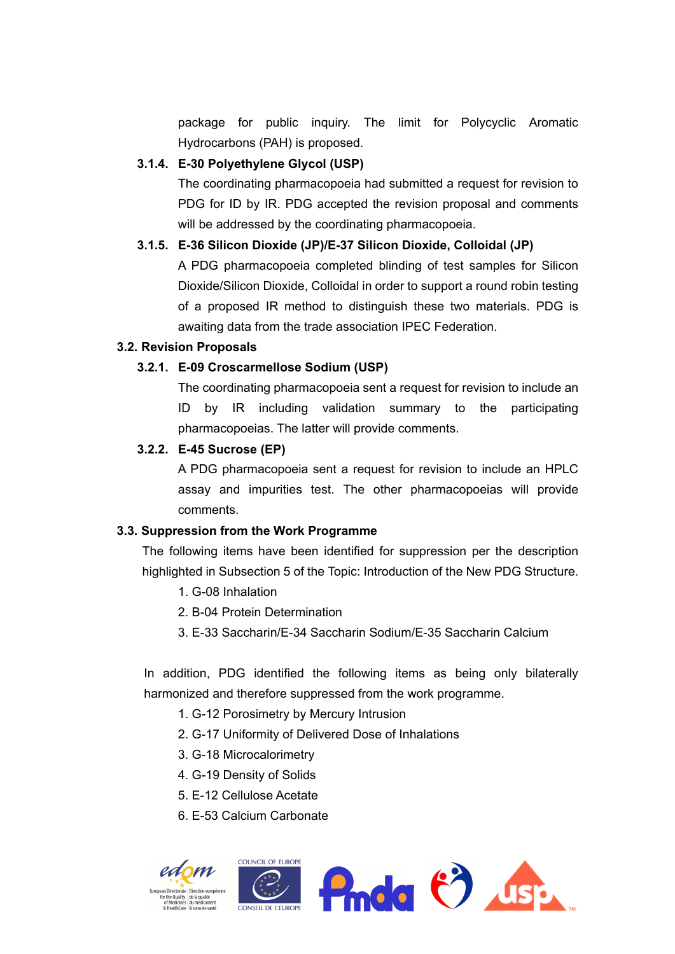package for public inquiry. The limit for Polycyclic Aromatic Hydrocarbons (PAH) is proposed.

#### **3.1.4. E-30 Polyethylene Glycol (USP)**

The coordinating pharmacopoeia had submitted a request for revision to PDG for ID by IR. PDG accepted the revision proposal and comments will be addressed by the coordinating pharmacopoeia.

#### **3.1.5. E-36 Silicon Dioxide (JP)/E-37 Silicon Dioxide, Colloidal (JP)**

A PDG pharmacopoeia completed blinding of test samples for Silicon Dioxide/Silicon Dioxide, Colloidal in order to support a round robin testing of a proposed IR method to distinguish these two materials. PDG is awaiting data from the trade association IPEC Federation.

#### **3.2. Revision Proposals**

#### **3.2.1. E-09 Croscarmellose Sodium (USP)**

The coordinating pharmacopoeia sent a request for revision to include an ID by IR including validation summary to the participating pharmacopoeias. The latter will provide comments.

#### **3.2.2. E-45 Sucrose (EP)**

A PDG pharmacopoeia sent a request for revision to include an HPLC assay and impurities test. The other pharmacopoeias will provide comments.

#### **3.3. Suppression from the Work Programme**

The following items have been identified for suppression per the description highlighted in Subsection 5 of the Topic: Introduction of the New PDG Structure.

- 1. G-08 Inhalation
- 2. B-04 Protein Determination
- 3. E-33 Saccharin/E-34 Saccharin Sodium/E-35 Saccharin Calcium

In addition, PDG identified the following items as being only bilaterally harmonized and therefore suppressed from the work programme.

- 1. G-12 Porosimetry by Mercury Intrusion
- 2. G-17 Uniformity of Delivered Dose of Inhalations
- 3. G-18 Microcalorimetry
- 4. G-19 Density of Solids
- 5. E-12 Cellulose Acetate
- 6. E-53 Calcium Carbonate